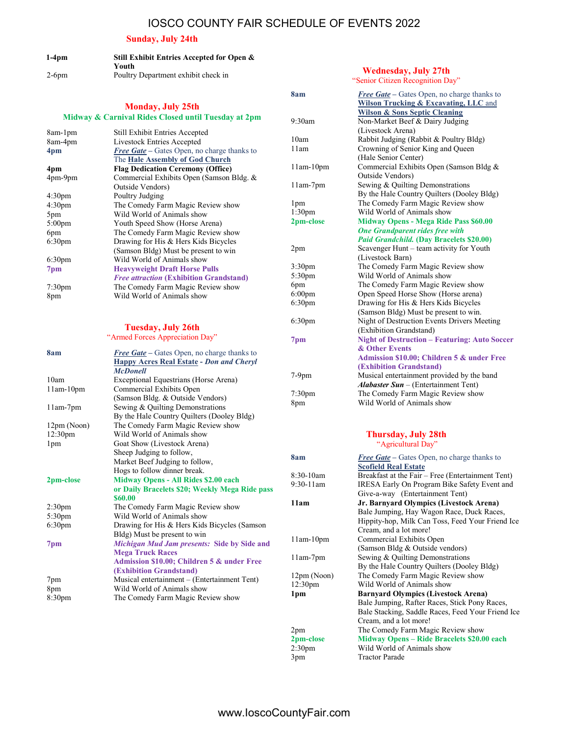## IOSCO COUNTY FAIR SCHEDULE OF EVENTS 2022

### Sunday, July 24th

| $1-4$ pm | Still Exhibit Entries Accepted for Open & |
|----------|-------------------------------------------|
|          | Youth                                     |
| $2-6$ pm | Poultry Department exhibit check in       |

### Monday, July 25th Midway & Carnival Rides Closed until Tuesday at 2pm

| <b>Still Exhibit Entries Accepted</b>              |  |  |
|----------------------------------------------------|--|--|
| Livestock Entries Accepted                         |  |  |
| <b>Free Gate</b> – Gates Open, no charge thanks to |  |  |
| The Hale Assembly of God Church                    |  |  |
| <b>Flag Dedication Ceremony (Office)</b>           |  |  |
| Commercial Exhibits Open (Samson Bldg. &           |  |  |
| Outside Vendors)                                   |  |  |
| Poultry Judging                                    |  |  |
| The Comedy Farm Magic Review show                  |  |  |
| Wild World of Animals show                         |  |  |
| Youth Speed Show (Horse Arena)                     |  |  |
| The Comedy Farm Magic Review show                  |  |  |
| Drawing for His & Hers Kids Bicycles               |  |  |
| (Samson Bldg) Must be present to win               |  |  |
| Wild World of Animals show                         |  |  |
| <b>Heavyweight Draft Horse Pulls</b>               |  |  |
| <b>Free attraction (Exhibition Grandstand)</b>     |  |  |
| The Comedy Farm Magic Review show                  |  |  |
| Wild World of Animals show                         |  |  |
|                                                    |  |  |

# Tuesday, July 26th

| "Armed Forces Appreciation Day" |                                                                                                                          |  |  |  |
|---------------------------------|--------------------------------------------------------------------------------------------------------------------------|--|--|--|
| 8am                             | <b>Free Gate</b> – Gates Open, no charge thanks to<br><b>Happy Acres Real Estate - Don and Cheryl</b><br><b>McDonell</b> |  |  |  |
| 10am                            | Exceptional Equestrians (Horse Arena)                                                                                    |  |  |  |
| $11am-10pm$                     | Commercial Exhibits Open                                                                                                 |  |  |  |
|                                 | (Samson Bldg. & Outside Vendors)                                                                                         |  |  |  |
| $11am-7pm$                      | Sewing & Quilting Demonstrations                                                                                         |  |  |  |
|                                 | By the Hale Country Quilters (Dooley Bldg)                                                                               |  |  |  |
| 12pm (Noon)                     | The Comedy Farm Magic Review show                                                                                        |  |  |  |
| 12:30pm                         | Wild World of Animals show                                                                                               |  |  |  |
| 1 <sub>pm</sub>                 | Goat Show (Livestock Arena)                                                                                              |  |  |  |
|                                 | Sheep Judging to follow,                                                                                                 |  |  |  |
|                                 | Market Beef Judging to follow,                                                                                           |  |  |  |
|                                 | Hogs to follow dinner break.                                                                                             |  |  |  |
| 2pm-close                       | <b>Midway Opens - All Rides \$2.00 each</b>                                                                              |  |  |  |
|                                 | or Daily Bracelets \$20; Weekly Mega Ride pass                                                                           |  |  |  |
|                                 | \$60.00                                                                                                                  |  |  |  |
| 2:30 <sub>pm</sub>              | The Comedy Farm Magic Review show                                                                                        |  |  |  |
| 5:30pm                          | Wild World of Animals show                                                                                               |  |  |  |
| 6:30 <sub>pm</sub>              | Drawing for His & Hers Kids Bicycles (Samson                                                                             |  |  |  |
|                                 | Bldg) Must be present to win                                                                                             |  |  |  |
| 7 <sub>pm</sub>                 | Michigan Mud Jam presents: Side by Side and                                                                              |  |  |  |
|                                 | <b>Mega Truck Races</b>                                                                                                  |  |  |  |
|                                 | Admission \$10.00; Children 5 & under Free                                                                               |  |  |  |
|                                 | (Exhibition Grandstand)                                                                                                  |  |  |  |
| 7pm                             | Musical entertainment - (Entertainment Tent)                                                                             |  |  |  |
| 8pm                             | Wild World of Animals show                                                                                               |  |  |  |
| 8:30 <sub>pm</sub>              | The Comedy Farm Magic Review show                                                                                        |  |  |  |

### "Senior Citizen Recognition Day" 8am Free Gate – Gates Open, no charge thanks to Wilson Trucking & Excavating, LLC and Wilson & Sons Septic Cleaning 9:30am Non-Market Beef & Dairy Judging (Livestock Arena) 10am Rabbit Judging (Rabbit & Poultry Bldg) 11am Crowning of Senior King and Queen (Hale Senior Center) 11am-10pm Commercial Exhibits Open (Samson Bldg & Outside Vendors) 11am-7pm Sewing & Quilting Demonstrations By the Hale Country Quilters (Dooley Bldg) 1pm The Comedy Farm Magic Review show 1:30pm Wild World of Animals show 2pm-close Midway Opens - Mega Ride Pass \$60.00 One Grandparent rides free with Paid Grandchild. (Day Bracelets \$20.00) 2pm Scavenger Hunt – team activity for Youth (Livestock Barn) 3:30pm The Comedy Farm Magic Review show<br>5:30pm Wild World of Animals show Wild World of Animals show 6pm The Comedy Farm Magic Review show 6:00pm Open Speed Horse Show (Horse arena) 6:30pm Drawing for His & Hers Kids Bicycles (Samson Bldg) Must be present to win. 6:30pm Night of Destruction Events Drivers Meeting (Exhibition Grandstand) 7pm Night of Destruction – Featuring: Auto Soccer & Other Events Admission \$10.00; Children 5 & under Free

Wednesday, July 27th

|        | (Exhibition Grandstand)                            |
|--------|----------------------------------------------------|
| 7-9pm  | Musical entertainment provided by the band         |
|        | <b><i>Alabaster Sun</i></b> – (Entertainment Tent) |
| 7:30pm | The Comedy Farm Magic Review show                  |
| 8pm    | Wild World of Animals show                         |
|        |                                                    |

#### Thursday, July 28th "Agricultural Day"

8am Free Gate – Gates Open, no charge thanks to Scofield Real Estate 8:30-10am Breakfast at the Fair – Free (Entertainment Tent)<br>9:30-11am IRESA Early On Program Bike Safety Event and IRESA Early On Program Bike Safety Event and Give-a-way (Entertainment Tent) 11am Jr. Barnyard Olympics (Livestock Arena) Bale Jumping, Hay Wagon Race, Duck Races, Hippity-hop, Milk Can Toss, Feed Your Friend Ice Cream, and a lot more! 11am-10pm Commercial Exhibits Open (Samson Bldg & Outside vendors) 11am-7pm Sewing & Quilting Demonstrations By the Hale Country Quilters (Dooley Bldg) 12pm (Noon) The Comedy Farm Magic Review show 12:30pm Wild World of Animals show 1pm Barnyard Olympics (Livestock Arena) Bale Jumping, Rafter Races, Stick Pony Races, Bale Stacking, Saddle Races, Feed Your Friend Ice Cream, and a lot more! 2pm The Comedy Farm Magic Review show 2pm-close Midway Opens – Ride Bracelets \$20.00 each<br>2:30pm – Wild World of Animals show Wild World of Animals show 3pm Tractor Parade

7:30pm